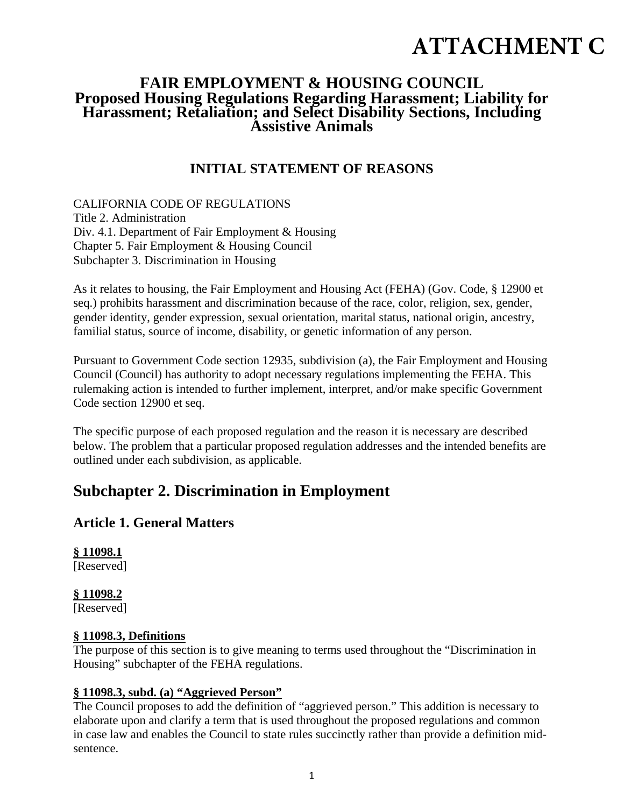## **ATTACHMENT C**

# **FAIR EMPLOYMENT & HOUSING COUNCIL Proposed Housing Regulations Regarding Harassment; Liability for Harassment; Retaliation; and Select Disability Sections, Including Assistive Animals**

### **INITIAL STATEMENT OF REASONS**

CALIFORNIA CODE OF REGULATIONS Title 2. Administration Div. 4.1. Department of Fair Employment & Housing Chapter 5. Fair Employment & Housing Council Subchapter 3. Discrimination in Housing

As it relates to housing, the Fair Employment and Housing Act (FEHA) (Gov. Code, § 12900 et seq.) prohibits harassment and discrimination because of the race, color, religion, sex, gender, gender identity, gender expression, sexual orientation, marital status, national origin, ancestry, familial status, source of income, disability, or genetic information of any person.

Pursuant to Government Code section 12935, subdivision (a), the Fair Employment and Housing Council (Council) has authority to adopt necessary regulations implementing the FEHA. This rulemaking action is intended to further implement, interpret, and/or make specific Government Code section 12900 et seq.

The specific purpose of each proposed regulation and the reason it is necessary are described below. The problem that a particular proposed regulation addresses and the intended benefits are outlined under each subdivision, as applicable.

## **Subchapter 2. Discrimination in Employment**

#### **Article 1. General Matters**

**§ 11098.1** [Reserved]

**§ 11098.2**

[Reserved]

#### **§ 11098.3, Definitions**

The purpose of this section is to give meaning to terms used throughout the "Discrimination in Housing" subchapter of the FEHA regulations.

#### **§ 11098.3, subd. (a) "Aggrieved Person"**

The Council proposes to add the definition of "aggrieved person." This addition is necessary to elaborate upon and clarify a term that is used throughout the proposed regulations and common in case law and enables the Council to state rules succinctly rather than provide a definition midsentence.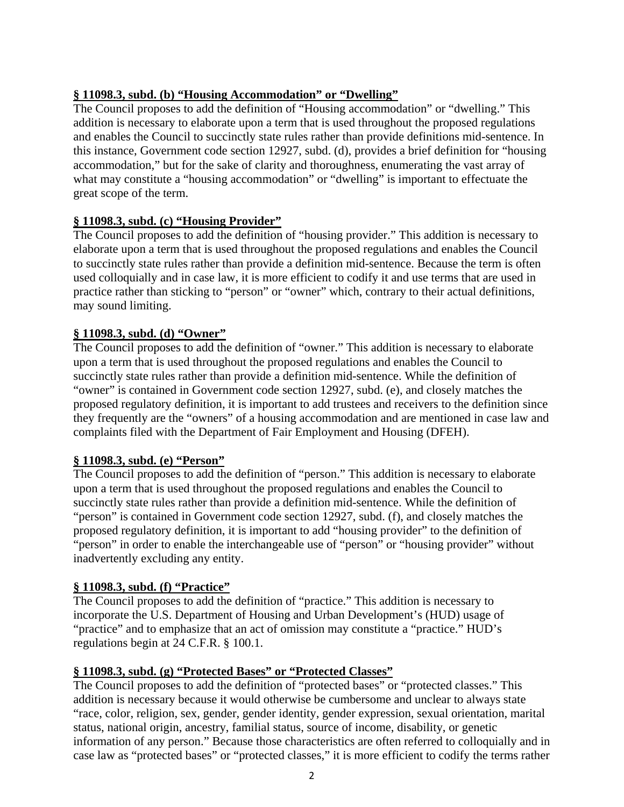#### **§ 11098.3, subd. (b) "Housing Accommodation" or "Dwelling"**

The Council proposes to add the definition of "Housing accommodation" or "dwelling." This addition is necessary to elaborate upon a term that is used throughout the proposed regulations and enables the Council to succinctly state rules rather than provide definitions mid-sentence. In this instance, Government code section 12927, subd. (d), provides a brief definition for "housing accommodation," but for the sake of clarity and thoroughness, enumerating the vast array of what may constitute a "housing accommodation" or "dwelling" is important to effectuate the great scope of the term.

#### **§ 11098.3, subd. (c) "Housing Provider"**

The Council proposes to add the definition of "housing provider." This addition is necessary to elaborate upon a term that is used throughout the proposed regulations and enables the Council to succinctly state rules rather than provide a definition mid-sentence. Because the term is often used colloquially and in case law, it is more efficient to codify it and use terms that are used in practice rather than sticking to "person" or "owner" which, contrary to their actual definitions, may sound limiting.

#### **§ 11098.3, subd. (d) "Owner"**

The Council proposes to add the definition of "owner." This addition is necessary to elaborate upon a term that is used throughout the proposed regulations and enables the Council to succinctly state rules rather than provide a definition mid-sentence. While the definition of "owner" is contained in Government code section 12927, subd. (e), and closely matches the proposed regulatory definition, it is important to add trustees and receivers to the definition since they frequently are the "owners" of a housing accommodation and are mentioned in case law and complaints filed with the Department of Fair Employment and Housing (DFEH).

#### **§ 11098.3, subd. (e) "Person"**

The Council proposes to add the definition of "person." This addition is necessary to elaborate upon a term that is used throughout the proposed regulations and enables the Council to succinctly state rules rather than provide a definition mid-sentence. While the definition of "person" is contained in Government code section 12927, subd. (f), and closely matches the proposed regulatory definition, it is important to add "housing provider" to the definition of "person" in order to enable the interchangeable use of "person" or "housing provider" without inadvertently excluding any entity.

#### **§ 11098.3, subd. (f) "Practice"**

The Council proposes to add the definition of "practice." This addition is necessary to incorporate the U.S. Department of Housing and Urban Development's (HUD) usage of "practice" and to emphasize that an act of omission may constitute a "practice." HUD's regulations begin at 24 C.F.R. § 100.1.

#### **§ 11098.3, subd. (g) "Protected Bases" or "Protected Classes"**

The Council proposes to add the definition of "protected bases" or "protected classes." This addition is necessary because it would otherwise be cumbersome and unclear to always state "race, color, religion, sex, gender, gender identity, gender expression, sexual orientation, marital status, national origin, ancestry, familial status, source of income, disability, or genetic information of any person." Because those characteristics are often referred to colloquially and in case law as "protected bases" or "protected classes," it is more efficient to codify the terms rather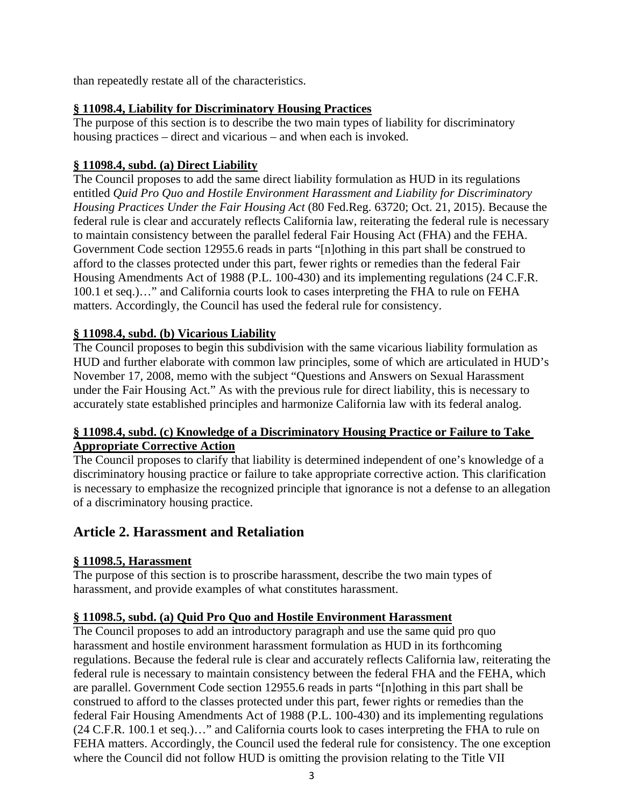than repeatedly restate all of the characteristics.

#### **§ 11098.4, Liability for Discriminatory Housing Practices**

The purpose of this section is to describe the two main types of liability for discriminatory housing practices – direct and vicarious – and when each is invoked.

#### **§ 11098.4, subd. (a) Direct Liability**

The Council proposes to add the same direct liability formulation as HUD in its regulations entitled *Quid Pro Quo and Hostile Environment Harassment and Liability for Discriminatory Housing Practices Under the Fair Housing Act* (80 Fed.Reg. 63720; Oct. 21, 2015). Because the federal rule is clear and accurately reflects California law, reiterating the federal rule is necessary to maintain consistency between the parallel federal Fair Housing Act (FHA) and the FEHA. Government Code section 12955.6 reads in parts "[n]othing in this part shall be construed to afford to the classes protected under this part, fewer rights or remedies than the federal Fair Housing Amendments Act of 1988 (P.L. 100-430) and its implementing regulations (24 C.F.R. 100.1 et seq.)…" and California courts look to cases interpreting the FHA to rule on FEHA matters. Accordingly, the Council has used the federal rule for consistency.

#### **§ 11098.4, subd. (b) Vicarious Liability**

The Council proposes to begin this subdivision with the same vicarious liability formulation as HUD and further elaborate with common law principles, some of which are articulated in HUD's November 17, 2008, memo with the subject "Questions and Answers on Sexual Harassment under the Fair Housing Act." As with the previous rule for direct liability, this is necessary to accurately state established principles and harmonize California law with its federal analog.

#### **§ 11098.4, subd. (c) Knowledge of a Discriminatory Housing Practice or Failure to Take Appropriate Corrective Action**

The Council proposes to clarify that liability is determined independent of one's knowledge of a discriminatory housing practice or failure to take appropriate corrective action. This clarification is necessary to emphasize the recognized principle that ignorance is not a defense to an allegation of a discriminatory housing practice.

## **Article 2. Harassment and Retaliation**

#### **§ 11098.5, Harassment**

The purpose of this section is to proscribe harassment, describe the two main types of harassment, and provide examples of what constitutes harassment.

## **§ 11098.5, subd. (a) Quid Pro Quo and Hostile Environment Harassment**

The Council proposes to add an introductory paragraph and use the same quid pro quo harassment and hostile environment harassment formulation as HUD in its forthcoming regulations. Because the federal rule is clear and accurately reflects California law, reiterating the federal rule is necessary to maintain consistency between the federal FHA and the FEHA, which are parallel. Government Code section 12955.6 reads in parts "[n]othing in this part shall be construed to afford to the classes protected under this part, fewer rights or remedies than the federal Fair Housing Amendments Act of 1988 (P.L. 100-430) and its implementing regulations (24 C.F.R. 100.1 et seq.)…" and California courts look to cases interpreting the FHA to rule on FEHA matters. Accordingly, the Council used the federal rule for consistency. The one exception where the Council did not follow HUD is omitting the provision relating to the Title VII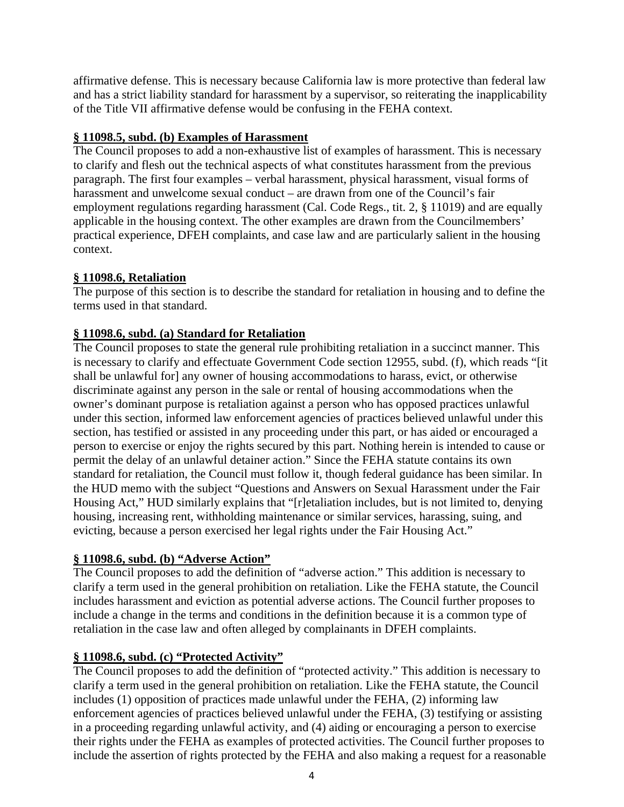affirmative defense. This is necessary because California law is more protective than federal law and has a strict liability standard for harassment by a supervisor, so reiterating the inapplicability of the Title VII affirmative defense would be confusing in the FEHA context.

#### **§ 11098.5, subd. (b) Examples of Harassment**

The Council proposes to add a non-exhaustive list of examples of harassment. This is necessary to clarify and flesh out the technical aspects of what constitutes harassment from the previous paragraph. The first four examples – verbal harassment, physical harassment, visual forms of harassment and unwelcome sexual conduct – are drawn from one of the Council's fair employment regulations regarding harassment (Cal. Code Regs., tit. 2, § 11019) and are equally applicable in the housing context. The other examples are drawn from the Councilmembers' practical experience, DFEH complaints, and case law and are particularly salient in the housing context.

#### **§ 11098.6, Retaliation**

The purpose of this section is to describe the standard for retaliation in housing and to define the terms used in that standard.

#### **§ 11098.6, subd. (a) Standard for Retaliation**

The Council proposes to state the general rule prohibiting retaliation in a succinct manner. This is necessary to clarify and effectuate Government Code section 12955, subd. (f), which reads "[it shall be unlawful for] any owner of housing accommodations to harass, evict, or otherwise discriminate against any person in the sale or rental of housing accommodations when the owner's dominant purpose is retaliation against a person who has opposed practices unlawful under this section, informed law enforcement agencies of practices believed unlawful under this section, has testified or assisted in any proceeding under this part, or has aided or encouraged a person to exercise or enjoy the rights secured by this part. Nothing herein is intended to cause or permit the delay of an unlawful detainer action." Since the FEHA statute contains its own standard for retaliation, the Council must follow it, though federal guidance has been similar. In the HUD memo with the subject "Questions and Answers on Sexual Harassment under the Fair Housing Act," HUD similarly explains that "[r]etaliation includes, but is not limited to, denying housing, increasing rent, withholding maintenance or similar services, harassing, suing, and evicting, because a person exercised her legal rights under the Fair Housing Act."

#### **§ 11098.6, subd. (b) "Adverse Action"**

The Council proposes to add the definition of "adverse action." This addition is necessary to clarify a term used in the general prohibition on retaliation. Like the FEHA statute, the Council includes harassment and eviction as potential adverse actions. The Council further proposes to include a change in the terms and conditions in the definition because it is a common type of retaliation in the case law and often alleged by complainants in DFEH complaints.

#### **§ 11098.6, subd. (c) "Protected Activity"**

The Council proposes to add the definition of "protected activity." This addition is necessary to clarify a term used in the general prohibition on retaliation. Like the FEHA statute, the Council includes (1) opposition of practices made unlawful under the FEHA, (2) informing law enforcement agencies of practices believed unlawful under the FEHA, (3) testifying or assisting in a proceeding regarding unlawful activity, and (4) aiding or encouraging a person to exercise their rights under the FEHA as examples of protected activities. The Council further proposes to include the assertion of rights protected by the FEHA and also making a request for a reasonable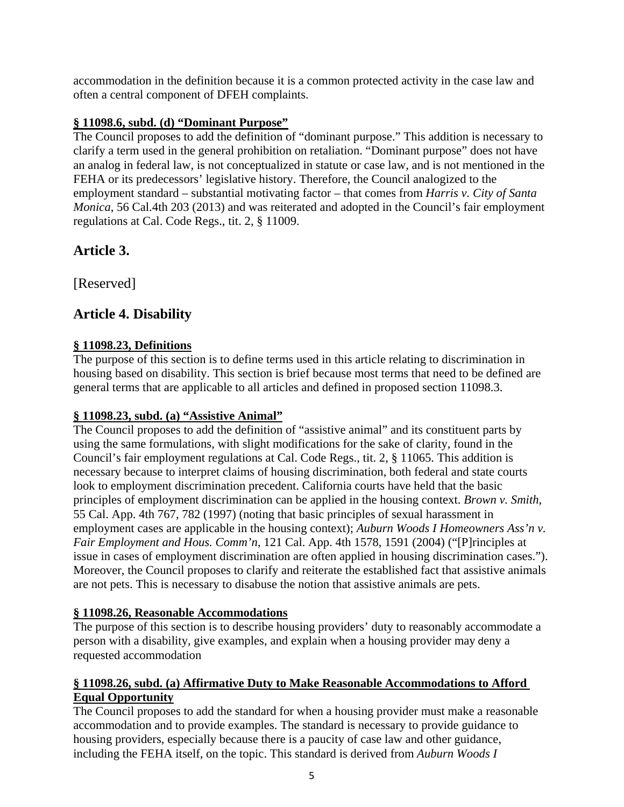accommodation in the definition because it is a common protected activity in the case law and often a central component of DFEH complaints.

#### **§ 11098.6, subd. (d) "Dominant Purpose"**

The Council proposes to add the definition of "dominant purpose." This addition is necessary to clarify a term used in the general prohibition on retaliation. "Dominant purpose" does not have an analog in federal law, is not conceptualized in statute or case law, and is not mentioned in the FEHA or its predecessors' legislative history. Therefore, the Council analogized to the employment standard – substantial motivating factor – that comes from *Harris v. City of Santa Monica*, 56 Cal.4th 203 (2013) and was reiterated and adopted in the Council's fair employment regulations at Cal. Code Regs., tit. 2, § 11009.

## **Article 3.**

[Reserved]

## **Article 4. Disability**

#### **§ 11098.23, Definitions**

The purpose of this section is to define terms used in this article relating to discrimination in housing based on disability. This section is brief because most terms that need to be defined are general terms that are applicable to all articles and defined in proposed section 11098.3.

#### **§ 11098.23, subd. (a) "Assistive Animal"**

The Council proposes to add the definition of "assistive animal" and its constituent parts by using the same formulations, with slight modifications for the sake of clarity, found in the Council's fair employment regulations at Cal. Code Regs., tit. 2, § 11065. This addition is necessary because to interpret claims of housing discrimination, both federal and state courts look to employment discrimination precedent. California courts have held that the basic principles of employment discrimination can be applied in the housing context. *Brown v. Smith*, 55 Cal. App. 4th 767, 782 (1997) (noting that basic principles of sexual harassment in employment cases are applicable in the housing context); *Auburn Woods I Homeowners Ass'n v. Fair Employment and Hous. Comm'n*, 121 Cal. App. 4th 1578, 1591 (2004) ("[P]rinciples at issue in cases of employment discrimination are often applied in housing discrimination cases."). Moreover, the Council proposes to clarify and reiterate the established fact that assistive animals are not pets. This is necessary to disabuse the notion that assistive animals are pets.

#### **§ 11098.26, Reasonable Accommodations**

The purpose of this section is to describe housing providers' duty to reasonably accommodate a person with a disability, give examples, and explain when a housing provider may deny a requested accommodation

#### **§ 11098.26, subd. (a) Affirmative Duty to Make Reasonable Accommodations to Afford Equal Opportunity**

The Council proposes to add the standard for when a housing provider must make a reasonable accommodation and to provide examples. The standard is necessary to provide guidance to housing providers, especially because there is a paucity of case law and other guidance, including the FEHA itself, on the topic. This standard is derived from *Auburn Woods I*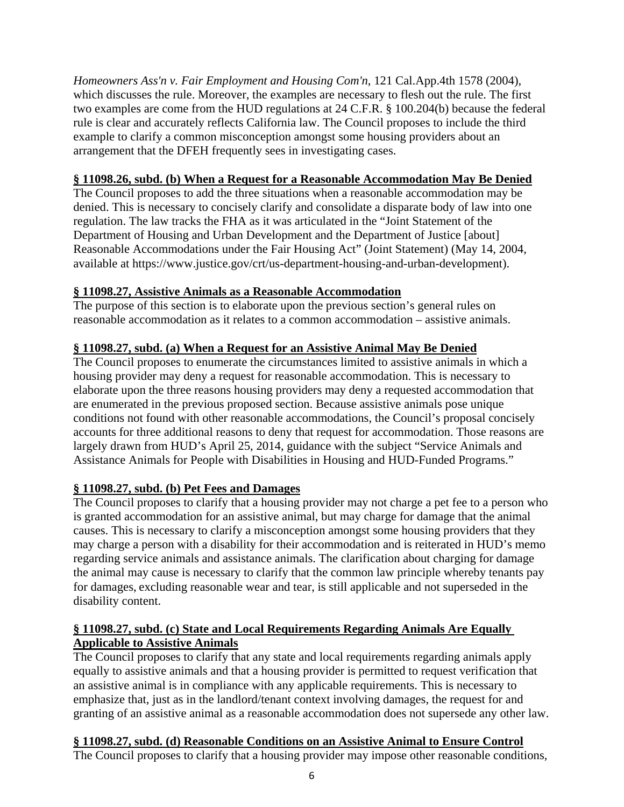*Homeowners Ass'n v. Fair Employment and Housing Com'n*, 121 Cal.App.4th 1578 (2004), which discusses the rule. Moreover, the examples are necessary to flesh out the rule. The first two examples are come from the HUD regulations at 24 C.F.R. § 100.204(b) because the federal rule is clear and accurately reflects California law. The Council proposes to include the third example to clarify a common misconception amongst some housing providers about an arrangement that the DFEH frequently sees in investigating cases.

#### **§ 11098.26, subd. (b) When a Request for a Reasonable Accommodation May Be Denied**

The Council proposes to add the three situations when a reasonable accommodation may be denied. This is necessary to concisely clarify and consolidate a disparate body of law into one regulation. The law tracks the FHA as it was articulated in the "Joint Statement of the Department of Housing and Urban Development and the Department of Justice [about] Reasonable Accommodations under the Fair Housing Act" (Joint Statement) (May 14, 2004, available at https://www.justice.gov/crt/us-department-housing-and-urban-development).

#### **§ 11098.27, Assistive Animals as a Reasonable Accommodation**

The purpose of this section is to elaborate upon the previous section's general rules on reasonable accommodation as it relates to a common accommodation – assistive animals.

#### **§ 11098.27, subd. (a) When a Request for an Assistive Animal May Be Denied**

The Council proposes to enumerate the circumstances limited to assistive animals in which a housing provider may deny a request for reasonable accommodation. This is necessary to elaborate upon the three reasons housing providers may deny a requested accommodation that are enumerated in the previous proposed section. Because assistive animals pose unique conditions not found with other reasonable accommodations, the Council's proposal concisely accounts for three additional reasons to deny that request for accommodation. Those reasons are largely drawn from HUD's April 25, 2014, guidance with the subject "Service Animals and Assistance Animals for People with Disabilities in Housing and HUD-Funded Programs."

#### **§ 11098.27, subd. (b) Pet Fees and Damages**

The Council proposes to clarify that a housing provider may not charge a pet fee to a person who is granted accommodation for an assistive animal, but may charge for damage that the animal causes. This is necessary to clarify a misconception amongst some housing providers that they may charge a person with a disability for their accommodation and is reiterated in HUD's memo regarding service animals and assistance animals. The clarification about charging for damage the animal may cause is necessary to clarify that the common law principle whereby tenants pay for damages, excluding reasonable wear and tear, is still applicable and not superseded in the disability content.

#### **§ 11098.27, subd. (c) State and Local Requirements Regarding Animals Are Equally Applicable to Assistive Animals**

The Council proposes to clarify that any state and local requirements regarding animals apply equally to assistive animals and that a housing provider is permitted to request verification that an assistive animal is in compliance with any applicable requirements. This is necessary to emphasize that, just as in the landlord/tenant context involving damages, the request for and granting of an assistive animal as a reasonable accommodation does not supersede any other law.

#### **§ 11098.27, subd. (d) Reasonable Conditions on an Assistive Animal to Ensure Control**

The Council proposes to clarify that a housing provider may impose other reasonable conditions,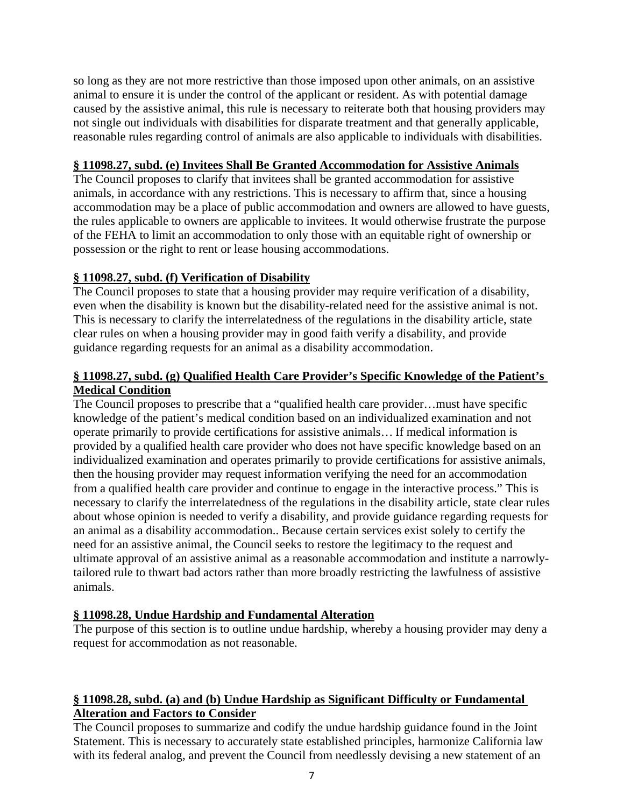so long as they are not more restrictive than those imposed upon other animals, on an assistive animal to ensure it is under the control of the applicant or resident. As with potential damage caused by the assistive animal, this rule is necessary to reiterate both that housing providers may not single out individuals with disabilities for disparate treatment and that generally applicable, reasonable rules regarding control of animals are also applicable to individuals with disabilities.

#### **§ 11098.27, subd. (e) Invitees Shall Be Granted Accommodation for Assistive Animals**

The Council proposes to clarify that invitees shall be granted accommodation for assistive animals, in accordance with any restrictions. This is necessary to affirm that, since a housing accommodation may be a place of public accommodation and owners are allowed to have guests, the rules applicable to owners are applicable to invitees. It would otherwise frustrate the purpose of the FEHA to limit an accommodation to only those with an equitable right of ownership or possession or the right to rent or lease housing accommodations.

#### **§ 11098.27, subd. (f) Verification of Disability**

The Council proposes to state that a housing provider may require verification of a disability, even when the disability is known but the disability-related need for the assistive animal is not. This is necessary to clarify the interrelatedness of the regulations in the disability article, state clear rules on when a housing provider may in good faith verify a disability, and provide guidance regarding requests for an animal as a disability accommodation.

#### **§ 11098.27, subd. (g) Qualified Health Care Provider's Specific Knowledge of the Patient's Medical Condition**

The Council proposes to prescribe that a "qualified health care provider…must have specific knowledge of the patient's medical condition based on an individualized examination and not operate primarily to provide certifications for assistive animals… If medical information is provided by a qualified health care provider who does not have specific knowledge based on an individualized examination and operates primarily to provide certifications for assistive animals, then the housing provider may request information verifying the need for an accommodation from a qualified health care provider and continue to engage in the interactive process." This is necessary to clarify the interrelatedness of the regulations in the disability article, state clear rules about whose opinion is needed to verify a disability, and provide guidance regarding requests for an animal as a disability accommodation.. Because certain services exist solely to certify the need for an assistive animal, the Council seeks to restore the legitimacy to the request and ultimate approval of an assistive animal as a reasonable accommodation and institute a narrowlytailored rule to thwart bad actors rather than more broadly restricting the lawfulness of assistive animals.

#### **§ 11098.28, Undue Hardship and Fundamental Alteration**

The purpose of this section is to outline undue hardship, whereby a housing provider may deny a request for accommodation as not reasonable.

#### **§ 11098.28, subd. (a) and (b) Undue Hardship as Significant Difficulty or Fundamental Alteration and Factors to Consider**

The Council proposes to summarize and codify the undue hardship guidance found in the Joint Statement. This is necessary to accurately state established principles, harmonize California law with its federal analog, and prevent the Council from needlessly devising a new statement of an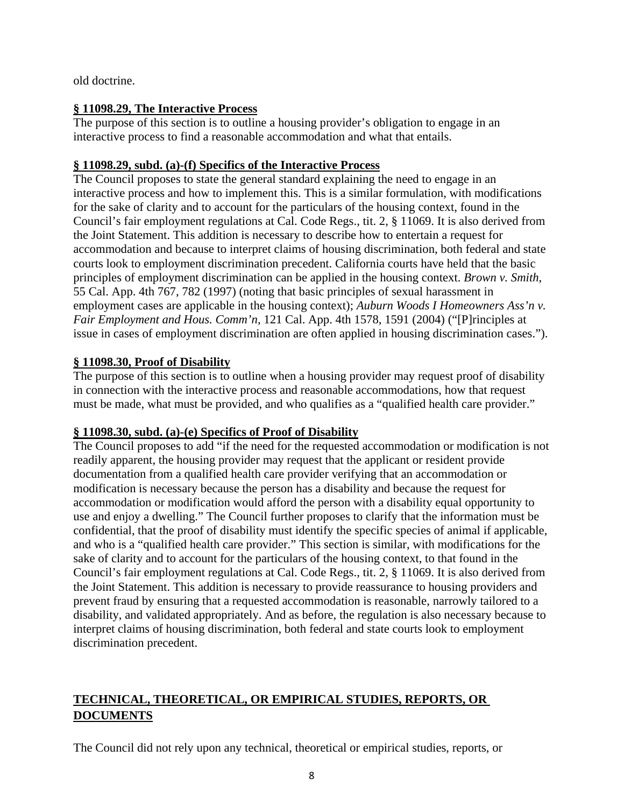old doctrine.

#### **§ 11098.29, The Interactive Process**

The purpose of this section is to outline a housing provider's obligation to engage in an interactive process to find a reasonable accommodation and what that entails.

#### **§ 11098.29, subd. (a)-(f) Specifics of the Interactive Process**

The Council proposes to state the general standard explaining the need to engage in an interactive process and how to implement this. This is a similar formulation, with modifications for the sake of clarity and to account for the particulars of the housing context, found in the Council's fair employment regulations at Cal. Code Regs., tit. 2, § 11069. It is also derived from the Joint Statement. This addition is necessary to describe how to entertain a request for accommodation and because to interpret claims of housing discrimination, both federal and state courts look to employment discrimination precedent. California courts have held that the basic principles of employment discrimination can be applied in the housing context. *Brown v. Smith*, 55 Cal. App. 4th 767, 782 (1997) (noting that basic principles of sexual harassment in employment cases are applicable in the housing context); *Auburn Woods I Homeowners Ass'n v. Fair Employment and Hous. Comm'n*, 121 Cal. App. 4th 1578, 1591 (2004) ("[P]rinciples at issue in cases of employment discrimination are often applied in housing discrimination cases.").

#### **§ 11098.30, Proof of Disability**

The purpose of this section is to outline when a housing provider may request proof of disability in connection with the interactive process and reasonable accommodations, how that request must be made, what must be provided, and who qualifies as a "qualified health care provider."

#### **§ 11098.30, subd. (a)-(e) Specifics of Proof of Disability**

The Council proposes to add "if the need for the requested accommodation or modification is not readily apparent, the housing provider may request that the applicant or resident provide documentation from a qualified health care provider verifying that an accommodation or modification is necessary because the person has a disability and because the request for accommodation or modification would afford the person with a disability equal opportunity to use and enjoy a dwelling." The Council further proposes to clarify that the information must be confidential, that the proof of disability must identify the specific species of animal if applicable, and who is a "qualified health care provider." This section is similar, with modifications for the sake of clarity and to account for the particulars of the housing context, to that found in the Council's fair employment regulations at Cal. Code Regs., tit. 2, § 11069. It is also derived from the Joint Statement. This addition is necessary to provide reassurance to housing providers and prevent fraud by ensuring that a requested accommodation is reasonable, narrowly tailored to a disability, and validated appropriately. And as before, the regulation is also necessary because to interpret claims of housing discrimination, both federal and state courts look to employment discrimination precedent.

## **TECHNICAL, THEORETICAL, OR EMPIRICAL STUDIES, REPORTS, OR DOCUMENTS**

The Council did not rely upon any technical, theoretical or empirical studies, reports, or